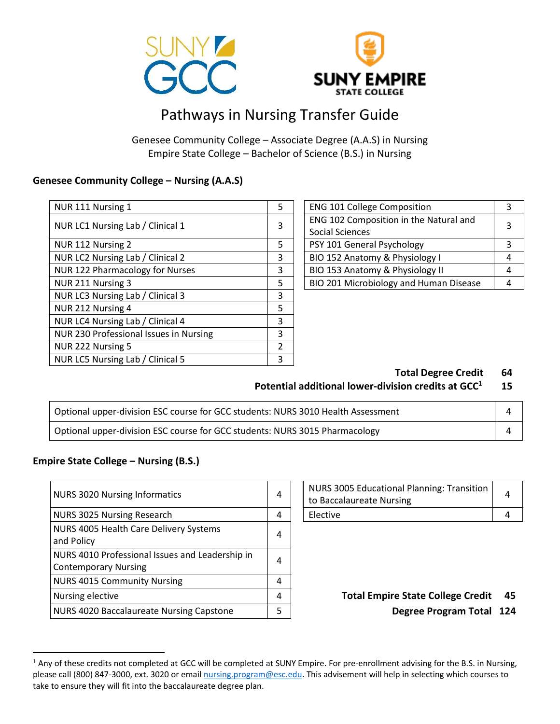



# Pathways in Nursing Transfer Guide

Genesee Community College – Associate Degree (A.A.S) in Nursing Empire State College – Bachelor of Science (B.S.) in Nursing

#### **Genesee Community College – Nursing (A.A.S)**

| NUR 111 Nursing 1                      | 5              | <b>ENG 101 College Composition</b>     | 3 |
|----------------------------------------|----------------|----------------------------------------|---|
| NUR LC1 Nursing Lab / Clinical 1       | 3              | ENG 102 Composition in the Natural and | 3 |
|                                        |                | <b>Social Sciences</b>                 |   |
| NUR 112 Nursing 2                      | 5              | PSY 101 General Psychology             | 3 |
| NUR LC2 Nursing Lab / Clinical 2       | 3              | BIO 152 Anatomy & Physiology I         | 4 |
| NUR 122 Pharmacology for Nurses        | 3              | BIO 153 Anatomy & Physiology II        | 4 |
| NUR 211 Nursing 3                      | 5              | BIO 201 Microbiology and Human Disease | 4 |
| NUR LC3 Nursing Lab / Clinical 3       | 3              |                                        |   |
| NUR 212 Nursing 4                      | 5              |                                        |   |
| NUR LC4 Nursing Lab / Clinical 4       | 3              |                                        |   |
| NUR 230 Professional Issues in Nursing | 3              |                                        |   |
| NUR 222 Nursing 5                      | $\mathfrak{p}$ |                                        |   |
| NUR LC5 Nursing Lab / Clinical 5       | 3              |                                        |   |

| <b>ENG 101 College Composition</b>     |   |  |
|----------------------------------------|---|--|
| ENG 102 Composition in the Natural and | 3 |  |
| Social Sciences                        |   |  |
| PSY 101 General Psychology             | 3 |  |
| BIO 152 Anatomy & Physiology I         |   |  |
| BIO 153 Anatomy & Physiology II        |   |  |
| BIO 201 Microbiology and Human Disease |   |  |

**Total Degree Credit 64**

#### **Potential additional lower-division credits at GCC<sup>1</sup> 15**

| Optional upper-division ESC course for GCC students: NURS 3010 Health Assessment |  |
|----------------------------------------------------------------------------------|--|
| Optional upper-division ESC course for GCC students: NURS 3015 Pharmacology      |  |

#### **Empire State College – Nursing (B.S.)**

 $\overline{a}$ 

| <b>NURS 3020 Nursing Informatics</b>                                           | 4 | <b>NURS 3005 Educational Planning: Transition</b><br>to Baccalaureate Nursing | 4    |
|--------------------------------------------------------------------------------|---|-------------------------------------------------------------------------------|------|
| NURS 3025 Nursing Research                                                     | 4 | Elective                                                                      | 4    |
| NURS 4005 Health Care Delivery Systems<br>and Policy                           | 4 |                                                                               |      |
| NURS 4010 Professional Issues and Leadership in<br><b>Contemporary Nursing</b> | 4 |                                                                               |      |
| <b>NURS 4015 Community Nursing</b>                                             | 4 |                                                                               |      |
| Nursing elective                                                               | 4 | <b>Total Empire State College Credit</b>                                      | - 4  |
| NURS 4020 Baccalaureate Nursing Capstone                                       |   | <b>Degree Program Total</b>                                                   | - 12 |

| NURS 3005 Educational Planning: Transition  <br>to Baccalaureate Nursing |  |
|--------------------------------------------------------------------------|--|
| <b>Elective</b>                                                          |  |

### Total Empire State College Credit 45 Degree Program Total 124

<sup>&</sup>lt;sup>1</sup> Any of these credits not completed at GCC will be completed at SUNY Empire. For pre-enrollment advising for the B.S. in Nursing, please call (800) 847-3000, ext. 3020 or email [nursing.program@esc.edu.](mailto:nursing.program@esc.edu) This advisement will help in selecting which courses to take to ensure they will fit into the baccalaureate degree plan.